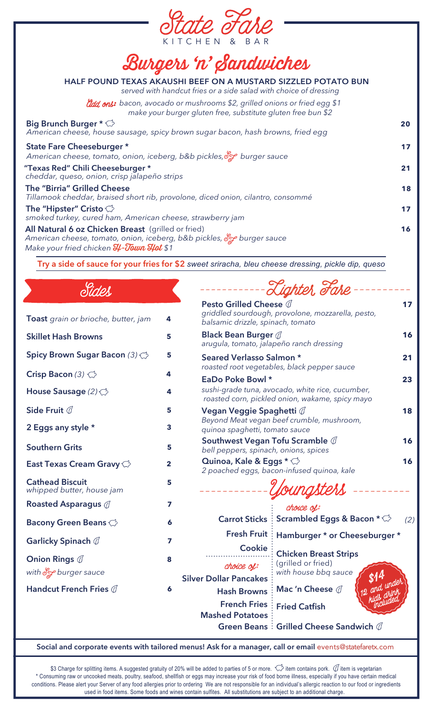

## Burgers 'n' Sandwiches

| HALF POUND TEXAS AKAUSHI BEEF ON A MUSTARD SIZZLED POTATO BUN<br>served with handcut fries or a side salad with choice of dressing                                           |    |
|------------------------------------------------------------------------------------------------------------------------------------------------------------------------------|----|
| <i>didd</i> , onl: bacon, avocado or mushrooms \$2, grilled onions or fried egg \$1<br>make your burger gluten free, substitute gluten free bun \$2                          |    |
| Big Brunch Burger $\star \bigcirc$<br>American cheese, house sausage, spicy brown sugar bacon, hash browns, fried egg                                                        | 20 |
| State Fare Cheeseburger *<br>American cheese, tomato, onion, iceberg, b&b pickles, of burger sauce                                                                           | 17 |
| "Texas Red" Chili Cheeseburger *<br>cheddar, queso, onion, crisp jalapeño strips                                                                                             | 21 |
| <b>The "Birria" Grilled Cheese</b><br>Tillamook cheddar, braised short rib, provolone, diced onion, cilantro, consommé                                                       | 18 |
| The "Hipster" Cristo $\heartsuit$<br>smoked turkey, cured ham, American cheese, strawberry jam                                                                               | 17 |
| All Natural 6 oz Chicken Breast (grilled or fried)<br>American cheese, tomato, onion, iceberg, b&b pickles, of burger sauce<br>Make your fried chicken <b>H-Town Hot</b> \$1 | 16 |

**Try a side of sauce for your fries for \$2** *sweet sriracha, bleu cheese dressing, pickle dip, queso*

Sides

| <b>Toast</b> grain or brioche, butter, jam             | 4 |
|--------------------------------------------------------|---|
| <b>Skillet Hash Browns</b>                             | 5 |
| Spicy Brown Sugar Bacon (3)                            | 5 |
| Crisp Bacon (3) $\bigcirc$                             | 4 |
| House Sausage $(2)\bigcirc$                            | 4 |
| Side Fruit $\mathbb O$                                 | 5 |
| 2 Eggs any style *                                     | 3 |
| <b>Southern Grits</b>                                  | 5 |
| East Texas Cream Gravy <del>○</del>                    | 2 |
| <b>Cathead Biscuit</b><br>whipped butter, house jam    | 5 |
| <b>Roasted Asparagus </b>                              | 7 |
| <b>Bacony Green Beans</b>                              | 6 |
| Garlicky Spinach $\mathbb O$                           | 7 |
| <b>Onion Rings</b> $\emptyset$<br>with or burger sauce | 8 |
| Handcut French Fries 0                                 | 6 |
|                                                        |   |

|                                                                                    | Tighter Fare                                                                                        |     |
|------------------------------------------------------------------------------------|-----------------------------------------------------------------------------------------------------|-----|
| Pesto Grilled Cheese 0<br>balsamic drizzle, spinach, tomato                        | griddled sourdough, provolone, mozzarella, pesto,                                                   | 17  |
| <b>Black Bean Burger @</b>                                                         | arugula, tomato, jalapeño ranch dressing                                                            | 16  |
| Seared Verlasso Salmon *                                                           | roasted root vegetables, black pepper sauce                                                         | 21  |
| EaDo Poke Bowl *                                                                   | sushi-grade tuna, avocado, white rice, cucumber,<br>roasted corn, pickled onion, wakame, spicy mayo | 23  |
| Vegan Veggie Spaghetti @<br>quinoa spaghetti, tomato sauce                         | Beyond Meat vegan beef crumble, mushroom,                                                           | 18  |
| Southwest Vegan Tofu Scramble $\mathbb O$<br>bell peppers, spinach, onions, spices |                                                                                                     | 16  |
| Quinoa, Kale & Eggs * <del>○</del>                                                 | 2 poached eggs, bacon-infused quinoa, kale                                                          | 16  |
|                                                                                    | ungsters                                                                                            |     |
| <b>Carrot Sticks</b>                                                               | chouce of:<br><b>Scrambled Eggs &amp; Bacon * &lt;*</b>                                             | (2) |
| <b>Fresh Fruit</b>                                                                 | Hamburger * or Cheeseburger *                                                                       |     |
| <b>Cookie</b>                                                                      | <b>Chicken Breast Strips</b>                                                                        |     |
| choice of:<br><b>Silver Dollar Pancakes</b>                                        | (grilled or fried)<br>with house bbq sauce                                                          |     |
| <b>Hash Browns</b>                                                                 | and under<br>Mac 'n Cheese $\mathbb O$                                                              |     |
| <b>French Fries</b>                                                                | <b>Included</b><br><b>Fried Catfish</b>                                                             |     |

**French Fries Fried Catfish Mashed Potatoes Green Beans**  $\vdots$  **Grilled Cheese Sandwich** 

Social and corporate events with tailored menus! Ask for a manager, call or email events@statefaretx.com

\$3 Charge for splitting items. A suggested gratuity of 20% will be added to parties of 5 or more.  $\leftrightarrow$  item contains pork.  $\emptyset$  item is vegetarian \* Consuming raw or uncooked meats, poultry, seafood, shellfish or eggs may increase your risk of food borne illness, especially if you have certain medical conditions. Please alert your Server of any food allergies prior to ordering We are not responsible for an individual's allergic reaction to our food or ingredients used in food items. Some foods and wines contain sulfites. All substitutions are subject to an additional charge.